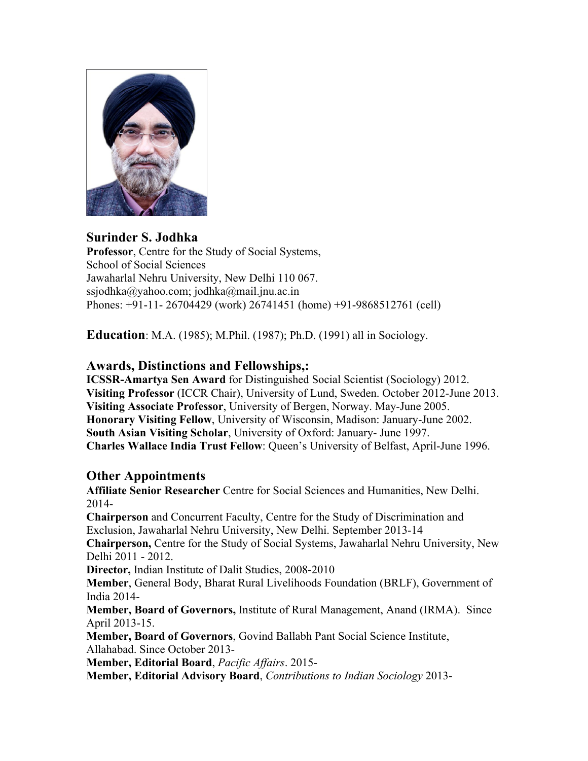

#### **Surinder S. Jodhka Professor**, Centre for the Study of Social Systems, School of Social Sciences Jawaharlal Nehru University, New Delhi 110 067. ssjodhka@yahoo.com; jodhka@mail.jnu.ac.in Phones: +91-11- 26704429 (work) 26741451 (home) +91-9868512761 (cell)

**Education**: M.A. (1985); M.Phil. (1987); Ph.D. (1991) all in Sociology.

### **Awards, Distinctions and Fellowships,:**

**ICSSR-Amartya Sen Award** for Distinguished Social Scientist (Sociology) 2012. **Visiting Professor** (ICCR Chair), University of Lund, Sweden. October 2012-June 2013. **Visiting Associate Professor**, University of Bergen, Norway. May-June 2005. **Honorary Visiting Fellow**, University of Wisconsin, Madison: January-June 2002. **South Asian Visiting Scholar**, University of Oxford: January- June 1997. **Charles Wallace India Trust Fellow**: Queen's University of Belfast, April-June 1996.

### **Other Appointments**

**Affiliate Senior Researcher** Centre for Social Sciences and Humanities, New Delhi. 2014- **Chairperson** and Concurrent Faculty, Centre for the Study of Discrimination and Exclusion, Jawaharlal Nehru University, New Delhi. September 2013-14 **Chairperson,** Centre for the Study of Social Systems, Jawaharlal Nehru University, New Delhi 2011 - 2012. **Director,** Indian Institute of Dalit Studies, 2008-2010 **Member**, General Body, Bharat Rural Livelihoods Foundation (BRLF), Government of India 2014-

**Member, Board of Governors,** Institute of Rural Management, Anand (IRMA). Since April 2013-15.

**Member, Board of Governors**, Govind Ballabh Pant Social Science Institute, Allahabad. Since October 2013-

**Member, Editorial Board**, *Pacific Affairs*. 2015-

**Member, Editorial Advisory Board**, *Contributions to Indian Sociology* 2013-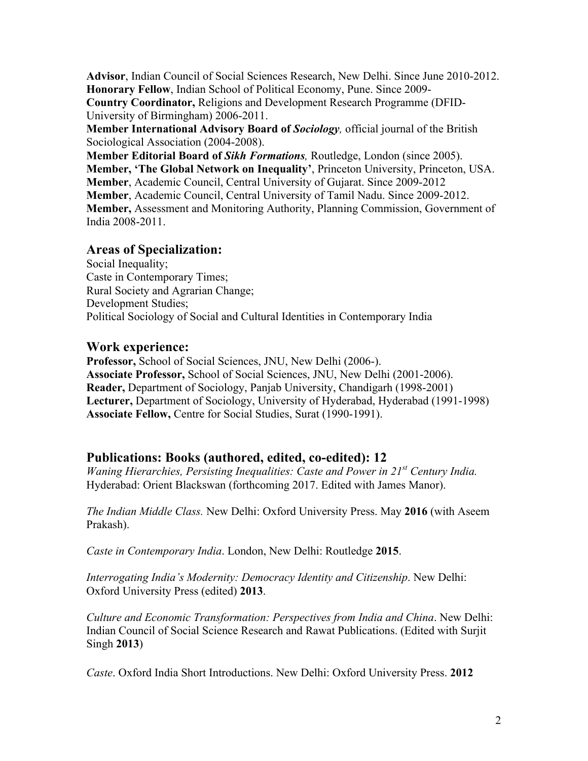**Advisor**, Indian Council of Social Sciences Research, New Delhi. Since June 2010-2012. **Honorary Fellow**, Indian School of Political Economy, Pune. Since 2009- **Country Coordinator,** Religions and Development Research Programme (DFID-University of Birmingham) 2006-2011.

**Member International Advisory Board of** *Sociology,* official journal of the British Sociological Association (2004-2008).

**Member Editorial Board of** *Sikh Formations,* Routledge, London (since 2005). **Member, 'The Global Network on Inequality'**, Princeton University, Princeton, USA. **Member**, Academic Council, Central University of Gujarat. Since 2009-2012 **Member**, Academic Council, Central University of Tamil Nadu. Since 2009-2012. **Member,** Assessment and Monitoring Authority, Planning Commission, Government of India 2008-2011.

# **Areas of Specialization:**

Social Inequality; Caste in Contemporary Times; Rural Society and Agrarian Change; Development Studies; Political Sociology of Social and Cultural Identities in Contemporary India

### **Work experience:**

**Professor,** School of Social Sciences, JNU, New Delhi (2006-). **Associate Professor,** School of Social Sciences, JNU, New Delhi (2001-2006). **Reader,** Department of Sociology, Panjab University, Chandigarh (1998-2001) **Lecturer,** Department of Sociology, University of Hyderabad, Hyderabad (1991-1998) **Associate Fellow,** Centre for Social Studies, Surat (1990-1991).

# **Publications: Books (authored, edited, co-edited): 12**

*Waning Hierarchies, Persisting Inequalities: Caste and Power in 21st Century India.* Hyderabad: Orient Blackswan (forthcoming 2017. Edited with James Manor).

*The Indian Middle Class.* New Delhi: Oxford University Press. May **2016** (with Aseem Prakash).

*Caste in Contemporary India*. London, New Delhi: Routledge **2015**.

*Interrogating India's Modernity: Democracy Identity and Citizenship*. New Delhi: Oxford University Press (edited) **2013**.

*Culture and Economic Transformation: Perspectives from India and China*. New Delhi: Indian Council of Social Science Research and Rawat Publications. (Edited with Surjit Singh **2013**)

*Caste*. Oxford India Short Introductions. New Delhi: Oxford University Press. **2012**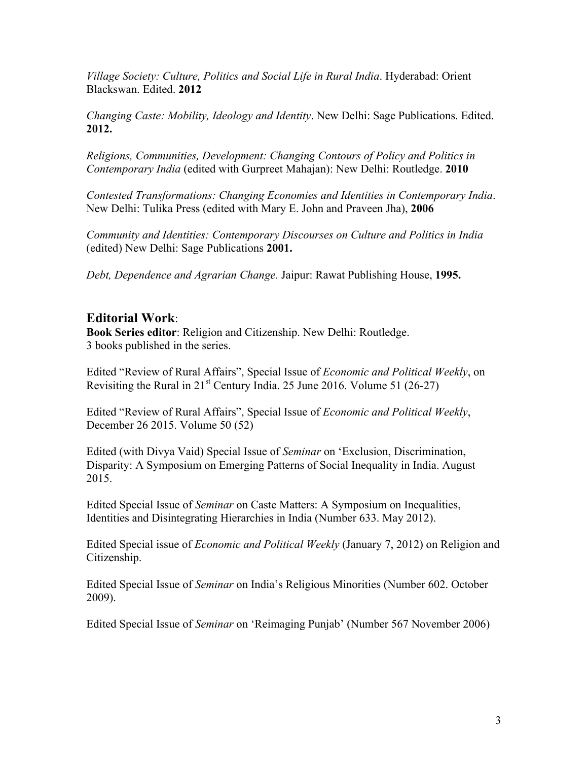*Village Society: Culture, Politics and Social Life in Rural India*. Hyderabad: Orient Blackswan. Edited. **2012**

*Changing Caste: Mobility, Ideology and Identity*. New Delhi: Sage Publications. Edited. **2012.**

*Religions, Communities, Development: Changing Contours of Policy and Politics in Contemporary India* (edited with Gurpreet Mahajan): New Delhi: Routledge. **2010**

*Contested Transformations: Changing Economies and Identities in Contemporary India*. New Delhi: Tulika Press (edited with Mary E. John and Praveen Jha), **2006**

*Community and Identities: Contemporary Discourses on Culture and Politics in India* (edited) New Delhi: Sage Publications **2001.**

*Debt, Dependence and Agrarian Change.* Jaipur: Rawat Publishing House, **1995.**

### **Editorial Work**:

**Book Series editor**: Religion and Citizenship. New Delhi: Routledge. 3 books published in the series.

Edited "Review of Rural Affairs", Special Issue of *Economic and Political Weekly*, on Revisiting the Rural in  $21^{st}$  Century India. 25 June 2016. Volume 51 (26-27)

Edited "Review of Rural Affairs", Special Issue of *Economic and Political Weekly*, December 26 2015. Volume 50 (52)

Edited (with Divya Vaid) Special Issue of *Seminar* on 'Exclusion, Discrimination, Disparity: A Symposium on Emerging Patterns of Social Inequality in India. August 2015.

Edited Special Issue of *Seminar* on Caste Matters: A Symposium on Inequalities, Identities and Disintegrating Hierarchies in India (Number 633. May 2012).

Edited Special issue of *Economic and Political Weekly* (January 7, 2012) on Religion and Citizenship.

Edited Special Issue of *Seminar* on India's Religious Minorities (Number 602. October 2009).

Edited Special Issue of *Seminar* on 'Reimaging Punjab' (Number 567 November 2006)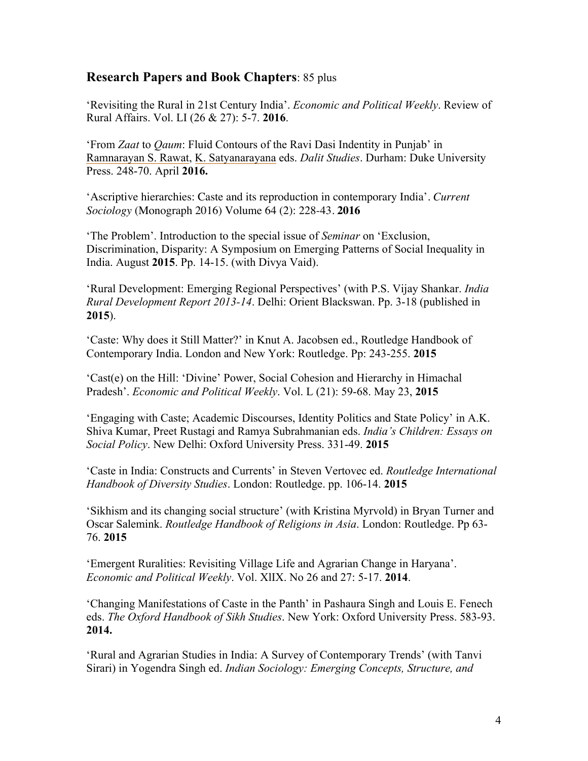### **Research Papers and Book Chapters**: 85 plus

'Revisiting the Rural in 21st Century India'. *Economic and Political Weekly*. Review of Rural Affairs. Vol. LI (26 & 27): 5-7. **2016**.

'From *Zaat* to *Qaum*: Fluid Contours of the Ravi Dasi Indentity in Punjab' in Ramnarayan S. Rawat, K. Satyanarayana eds. *Dalit Studies*. Durham: Duke University Press. 248-70. April **2016.**

'Ascriptive hierarchies: Caste and its reproduction in contemporary India'. *Current Sociology* (Monograph 2016) Volume 64 (2): 228-43. **2016**

'The Problem'. Introduction to the special issue of *Seminar* on 'Exclusion, Discrimination, Disparity: A Symposium on Emerging Patterns of Social Inequality in India. August **2015**. Pp. 14-15. (with Divya Vaid).

'Rural Development: Emerging Regional Perspectives' (with P.S. Vijay Shankar. *India Rural Development Report 2013-14*. Delhi: Orient Blackswan. Pp. 3-18 (published in **2015**).

'Caste: Why does it Still Matter?' in Knut A. Jacobsen ed., Routledge Handbook of Contemporary India. London and New York: Routledge. Pp: 243-255. **2015**

'Cast(e) on the Hill: 'Divine' Power, Social Cohesion and Hierarchy in Himachal Pradesh'. *Economic and Political Weekly*. Vol. L (21): 59-68. May 23, **2015**

'Engaging with Caste; Academic Discourses, Identity Politics and State Policy' in A.K. Shiva Kumar, Preet Rustagi and Ramya Subrahmanian eds. *India's Children: Essays on Social Policy*. New Delhi: Oxford University Press. 331-49. **2015**

'Caste in India: Constructs and Currents' in Steven Vertovec ed. *Routledge International Handbook of Diversity Studies*. London: Routledge. pp. 106-14. **2015**

'Sikhism and its changing social structure' (with Kristina Myrvold) in Bryan Turner and Oscar Salemink. *Routledge Handbook of Religions in Asia*. London: Routledge. Pp 63- 76. **2015**

'Emergent Ruralities: Revisiting Village Life and Agrarian Change in Haryana'. *Economic and Political Weekly*. Vol. XlIX. No 26 and 27: 5-17. **2014**.

'Changing Manifestations of Caste in the Panth' in Pashaura Singh and Louis E. Fenech eds. *The Oxford Handbook of Sikh Studies*. New York: Oxford University Press. 583-93. **2014.**

'Rural and Agrarian Studies in India: A Survey of Contemporary Trends' (with Tanvi Sirari) in Yogendra Singh ed. *Indian Sociology: Emerging Concepts, Structure, and*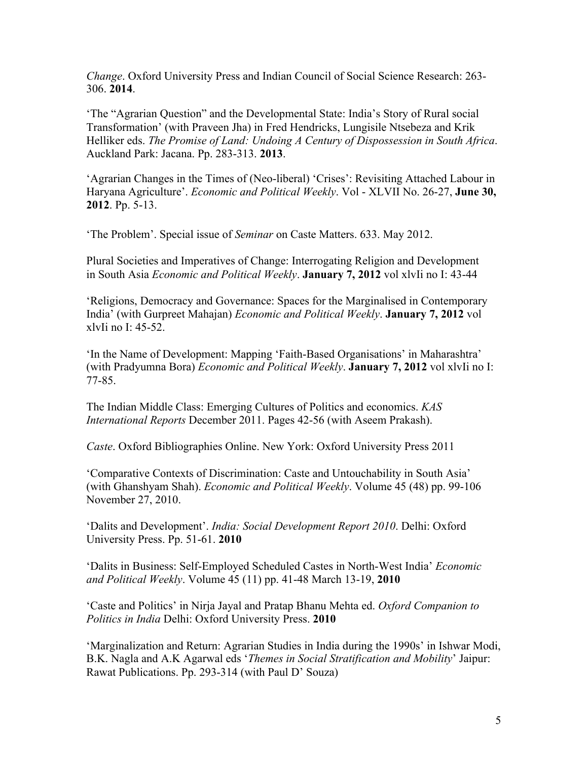*Change*. Oxford University Press and Indian Council of Social Science Research: 263- 306. **2014**.

'The "Agrarian Question" and the Developmental State: India's Story of Rural social Transformation' (with Praveen Jha) in Fred Hendricks, Lungisile Ntsebeza and Krik Helliker eds. *The Promise of Land: Undoing A Century of Dispossession in South Africa*. Auckland Park: Jacana. Pp. 283-313. **2013**.

'Agrarian Changes in the Times of (Neo-liberal) 'Crises': Revisiting Attached Labour in Haryana Agriculture'. *Economic and Political Weekly*. Vol - XLVII No. 26-27, **June 30, 2012**. Pp. 5-13.

'The Problem'. Special issue of *Seminar* on Caste Matters. 633. May 2012.

Plural Societies and Imperatives of Change: Interrogating Religion and Development in South Asia *Economic and Political Weekly*. **January 7, 2012** vol xlvIi no I: 43-44

'Religions, Democracy and Governance: Spaces for the Marginalised in Contemporary India' (with Gurpreet Mahajan) *Economic and Political Weekly*. **January 7, 2012** vol xlvIi no I: 45-52.

'In the Name of Development: Mapping 'Faith-Based Organisations' in Maharashtra' (with Pradyumna Bora) *Economic and Political Weekly*. **January 7, 2012** vol xlvIi no I: 77-85.

The Indian Middle Class: Emerging Cultures of Politics and economics. *KAS International Reports* December 2011. Pages 42-56 (with Aseem Prakash).

*Caste*. Oxford Bibliographies Online. New York: Oxford University Press 2011

'Comparative Contexts of Discrimination: Caste and Untouchability in South Asia' (with Ghanshyam Shah). *Economic and Political Weekly*. Volume 45 (48) pp. 99-106 November 27, 2010.

'Dalits and Development'. *India: Social Development Report 2010*. Delhi: Oxford University Press. Pp. 51-61. **2010**

'Dalits in Business: Self-Employed Scheduled Castes in North-West India' *Economic and Political Weekly*. Volume 45 (11) pp. 41-48 March 13-19, **2010**

'Caste and Politics' in Nirja Jayal and Pratap Bhanu Mehta ed. *Oxford Companion to Politics in India* Delhi: Oxford University Press. **2010** 

'Marginalization and Return: Agrarian Studies in India during the 1990s' in Ishwar Modi, B.K. Nagla and A.K Agarwal eds '*Themes in Social Stratification and Mobility*' Jaipur: Rawat Publications. Pp. 293-314 (with Paul D' Souza)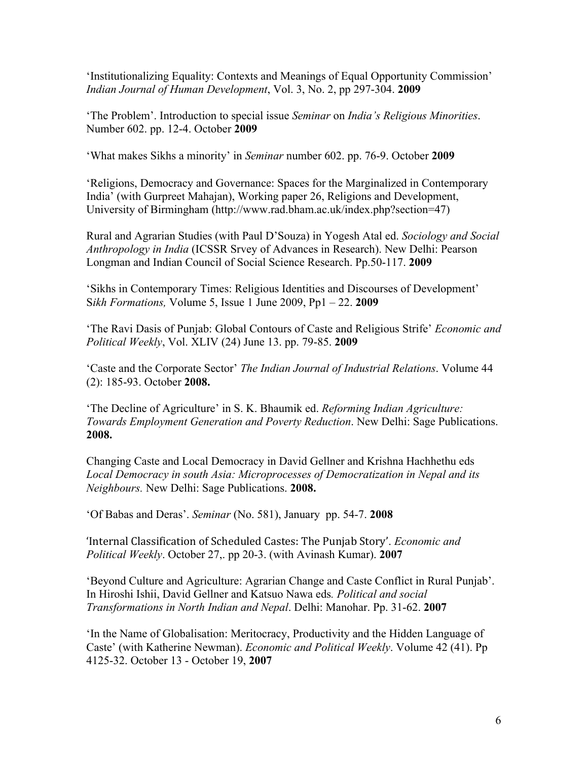'Institutionalizing Equality: Contexts and Meanings of Equal Opportunity Commission' *Indian Journal of Human Development*, Vol. 3, No. 2, pp 297-304. **2009**

'The Problem'. Introduction to special issue *Seminar* on *India's Religious Minorities*. Number 602. pp. 12-4. October **2009**

'What makes Sikhs a minority' in *Seminar* number 602. pp. 76-9. October **2009**

'Religions, Democracy and Governance: Spaces for the Marginalized in Contemporary India' (with Gurpreet Mahajan), Working paper 26, Religions and Development, University of Birmingham (http://www.rad.bham.ac.uk/index.php?section=47)

Rural and Agrarian Studies (with Paul D'Souza) in Yogesh Atal ed. *Sociology and Social Anthropology in India* (ICSSR Srvey of Advances in Research). New Delhi: Pearson Longman and Indian Council of Social Science Research. Pp.50-117. **2009**

'Sikhs in Contemporary Times: Religious Identities and Discourses of Development' S*ikh Formations,* Volume 5, Issue 1 June 2009, Pp1 – 22. **2009**

'The Ravi Dasis of Punjab: Global Contours of Caste and Religious Strife' *Economic and Political Weekly*, Vol. XLIV (24) June 13. pp. 79-85. **2009**

'Caste and the Corporate Sector' *The Indian Journal of Industrial Relations*. Volume 44 (2): 185-93. October **2008.**

'The Decline of Agriculture' in S. K. Bhaumik ed. *Reforming Indian Agriculture: Towards Employment Generation and Poverty Reduction*. New Delhi: Sage Publications. **2008.**

Changing Caste and Local Democracy in David Gellner and Krishna Hachhethu eds *Local Democracy in south Asia: Microprocesses of Democratization in Nepal and its Neighbours.* New Delhi: Sage Publications. **2008.**

'Of Babas and Deras'. *Seminar* (No. 581), January pp. 54-7. **2008**

'Internal)Classification)of)Scheduled)Castes:)The)Punjab)Story'. *Economic and Political Weekly*. October 27,. pp 20-3. (with Avinash Kumar). **2007**

'Beyond Culture and Agriculture: Agrarian Change and Caste Conflict in Rural Punjab'. In Hiroshi Ishii, David Gellner and Katsuo Nawa eds*. Political and social Transformations in North Indian and Nepal*. Delhi: Manohar. Pp. 31-62. **2007**

'In the Name of Globalisation: Meritocracy, Productivity and the Hidden Language of Caste' (with Katherine Newman). *Economic and Political Weekly*. Volume 42 (41). Pp 4125-32. October 13 - October 19, **2007**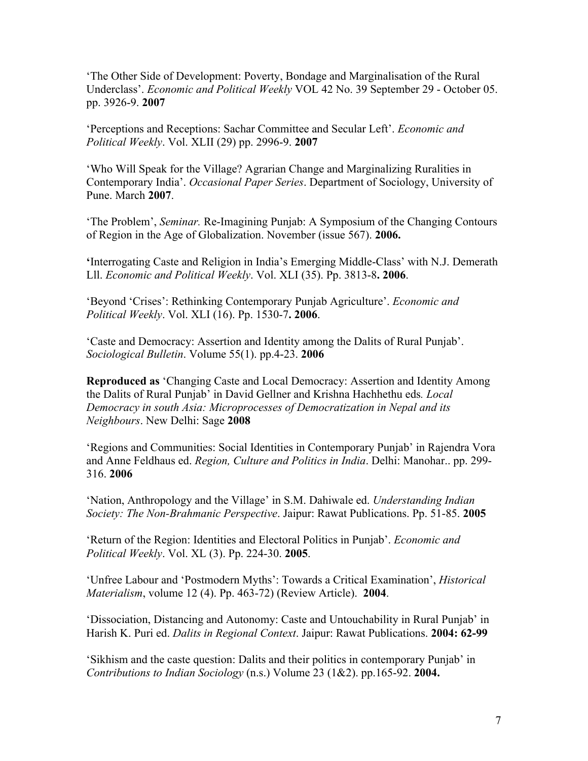'The Other Side of Development: Poverty, Bondage and Marginalisation of the Rural Underclass'. *Economic and Political Weekly* VOL 42 No. 39 September 29 - October 05. pp. 3926-9. **2007**

'Perceptions and Receptions: Sachar Committee and Secular Left'. *Economic and Political Weekly*. Vol. XLII (29) pp. 2996-9. **2007**

'Who Will Speak for the Village? Agrarian Change and Marginalizing Ruralities in Contemporary India'. *Occasional Paper Series*. Department of Sociology, University of Pune. March **2007**.

'The Problem', *Seminar.* Re-Imagining Punjab: A Symposium of the Changing Contours of Region in the Age of Globalization. November (issue 567). **2006.**

**'**Interrogating Caste and Religion in India's Emerging Middle-Class' with N.J. Demerath Lll. *Economic and Political Weekly*. Vol. XLI (35). Pp. 3813-8**. 2006**.

'Beyond 'Crises': Rethinking Contemporary Punjab Agriculture'. *Economic and Political Weekly*. Vol. XLI (16). Pp. 1530-7**. 2006**.

'Caste and Democracy: Assertion and Identity among the Dalits of Rural Punjab'. *Sociological Bulletin*. Volume 55(1). pp.4-23. **2006**

**Reproduced as** 'Changing Caste and Local Democracy: Assertion and Identity Among the Dalits of Rural Punjab' in David Gellner and Krishna Hachhethu eds*. Local Democracy in south Asia: Microprocesses of Democratization in Nepal and its Neighbours*. New Delhi: Sage **2008**

'Regions and Communities: Social Identities in Contemporary Punjab' in Rajendra Vora and Anne Feldhaus ed. *Region, Culture and Politics in India*. Delhi: Manohar.. pp. 299- 316. **2006**

'Nation, Anthropology and the Village' in S.M. Dahiwale ed. *Understanding Indian Society: The Non-Brahmanic Perspective*. Jaipur: Rawat Publications. Pp. 51-85. **2005**

'Return of the Region: Identities and Electoral Politics in Punjab'. *Economic and Political Weekly*. Vol. XL (3). Pp. 224-30. **2005**.

'Unfree Labour and 'Postmodern Myths': Towards a Critical Examination', *Historical Materialism*, volume 12 (4). Pp. 463-72) (Review Article). **2004**.

'Dissociation, Distancing and Autonomy: Caste and Untouchability in Rural Punjab' in Harish K. Puri ed. *Dalits in Regional Context*. Jaipur: Rawat Publications. **2004: 62-99**

'Sikhism and the caste question: Dalits and their politics in contemporary Punjab' in *Contributions to Indian Sociology* (n.s.) Volume 23 (1&2). pp.165-92. **2004.**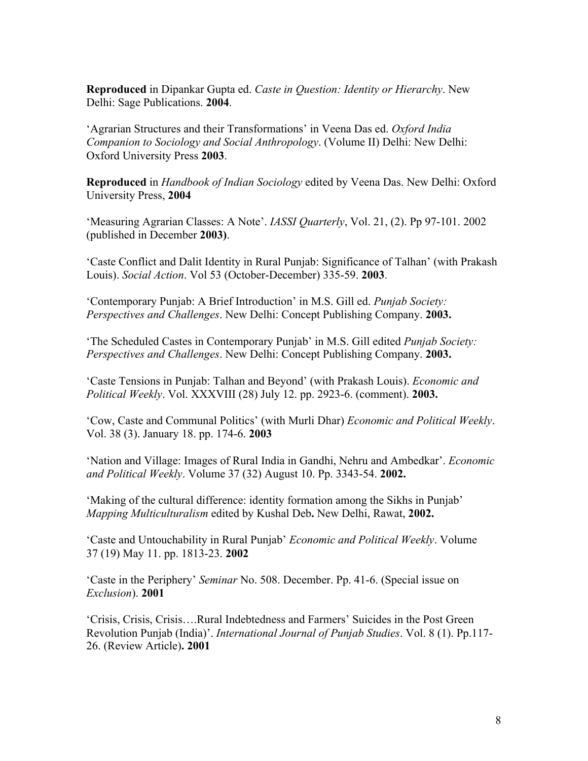**Reproduced** in Dipankar Gupta ed. *Caste in Question: Identity or Hierarchy*. New Delhi: Sage Publications. **2004**.

'Agrarian Structures and their Transformations' in Veena Das ed. *Oxford India Companion to Sociology and Social Anthropology*. (Volume II) Delhi: New Delhi: Oxford University Press **2003**.

**Reproduced** in *Handbook of Indian Sociology* edited by Veena Das. New Delhi: Oxford University Press, **2004**

'Measuring Agrarian Classes: A Note'. *IASSI Quarterly*, Vol. 21, (2). Pp 97-101. 2002 (published in December **2003)**.

'Caste Conflict and Dalit Identity in Rural Punjab: Significance of Talhan' (with Prakash Louis). *Social Action*. Vol 53 (October-December) 335-59. **2003**.

'Contemporary Punjab: A Brief Introduction' in M.S. Gill ed. *Punjab Society: Perspectives and Challenges*. New Delhi: Concept Publishing Company. **2003.**

'The Scheduled Castes in Contemporary Punjab' in M.S. Gill edited *Punjab Society: Perspectives and Challenges*. New Delhi: Concept Publishing Company. **2003.**

'Caste Tensions in Punjab: Talhan and Beyond' (with Prakash Louis). *Economic and Political Weekly*. Vol. XXXVIII (28) July 12. pp. 2923-6. (comment). **2003.**

'Cow, Caste and Communal Politics' (with Murli Dhar) *Economic and Political Weekly*. Vol. 38 (3). January 18. pp. 174-6. **2003**

'Nation and Village: Images of Rural India in Gandhi, Nehru and Ambedkar'. *Economic and Political Weekly*. Volume 37 (32) August 10. Pp. 3343-54. **2002.**

'Making of the cultural difference: identity formation among the Sikhs in Punjab' *Mapping Multiculturalism* edited by Kushal Deb**.** New Delhi, Rawat, **2002.**

'Caste and Untouchability in Rural Punjab' *Economic and Political Weekly*. Volume 37 (19) May 11. pp. 1813-23. **2002**

'Caste in the Periphery' *Seminar* No. 508. December. Pp. 41-6. (Special issue on *Exclusion*). **2001**

'Crisis, Crisis, Crisis….Rural Indebtedness and Farmers' Suicides in the Post Green Revolution Punjab (India)'. *International Journal of Punjab Studies*. Vol. 8 (1). Pp.117- 26. (Review Article)**. 2001**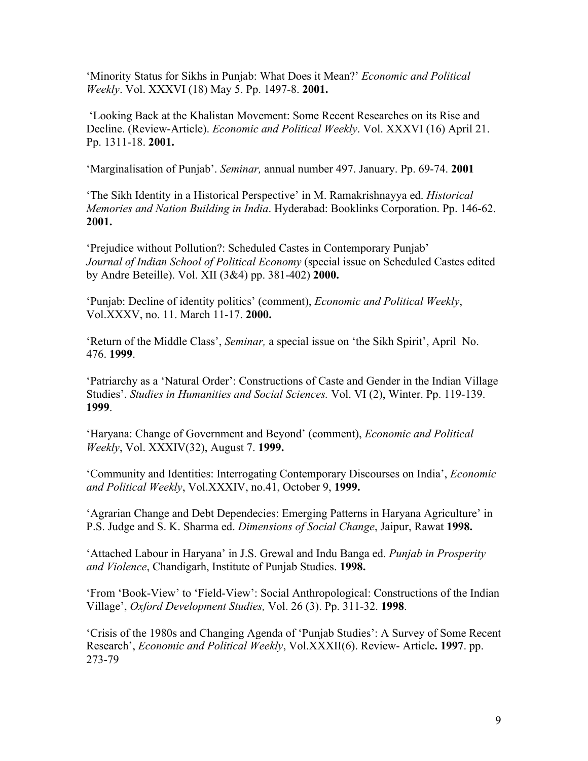'Minority Status for Sikhs in Punjab: What Does it Mean?' *Economic and Political Weekly*. Vol. XXXVI (18) May 5. Pp. 1497-8. **2001.**

'Looking Back at the Khalistan Movement: Some Recent Researches on its Rise and Decline. (Review-Article). *Economic and Political Weekly*. Vol. XXXVI (16) April 21. Pp. 1311-18. **2001.**

'Marginalisation of Punjab'. *Seminar,* annual number 497. January. Pp. 69-74. **2001**

'The Sikh Identity in a Historical Perspective' in M. Ramakrishnayya ed. *Historical Memories and Nation Building in India*. Hyderabad: Booklinks Corporation. Pp. 146-62. **2001.**

'Prejudice without Pollution?: Scheduled Castes in Contemporary Punjab' *Journal of Indian School of Political Economy* (special issue on Scheduled Castes edited by Andre Beteille). Vol. XII (3&4) pp. 381-402) **2000.**

'Punjab: Decline of identity politics' (comment), *Economic and Political Weekly*, Vol.XXXV, no. 11. March 11-17. **2000.** 

'Return of the Middle Class', *Seminar,* a special issue on 'the Sikh Spirit', April No. 476. **1999**.

'Patriarchy as a 'Natural Order': Constructions of Caste and Gender in the Indian Village Studies'. *Studies in Humanities and Social Sciences.* Vol. VI (2), Winter. Pp. 119-139. **1999**.

'Haryana: Change of Government and Beyond' (comment), *Economic and Political Weekly*, Vol. XXXIV(32), August 7. **1999.**

'Community and Identities: Interrogating Contemporary Discourses on India', *Economic and Political Weekly*, Vol.XXXIV, no.41, October 9, **1999.**

'Agrarian Change and Debt Dependecies: Emerging Patterns in Haryana Agriculture' in P.S. Judge and S. K. Sharma ed. *Dimensions of Social Change*, Jaipur, Rawat **1998.**

'Attached Labour in Haryana' in J.S. Grewal and Indu Banga ed. *Punjab in Prosperity and Violence*, Chandigarh, Institute of Punjab Studies. **1998.** 

'From 'Book-View' to 'Field-View': Social Anthropological: Constructions of the Indian Village', *Oxford Development Studies,* Vol. 26 (3). Pp. 311-32. **1998**.

'Crisis of the 1980s and Changing Agenda of 'Punjab Studies': A Survey of Some Recent Research', *Economic and Political Weekly*, Vol.XXXII(6). Review- Article**. 1997**. pp. 273-79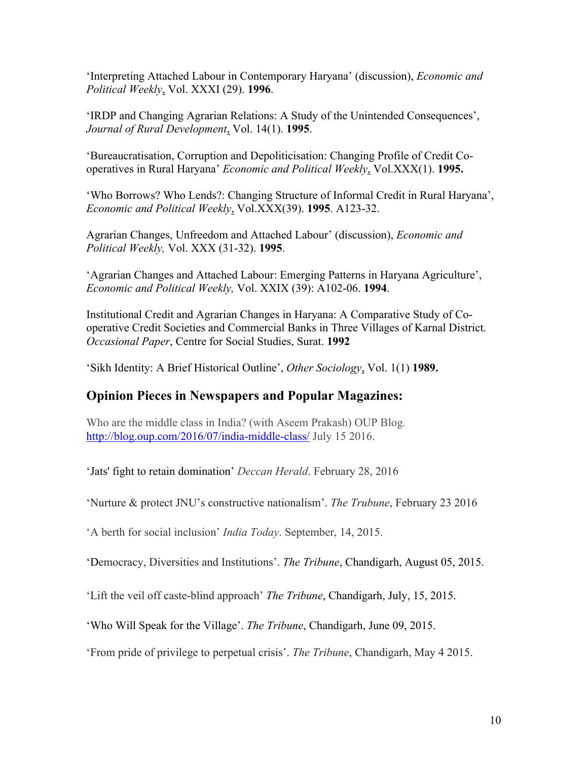'Interpreting Attached Labour in Contemporary Haryana' (discussion), *Economic and Political Weekly*, Vol. XXXI (29). **1996**.

'IRDP and Changing Agrarian Relations: A Study of the Unintended Consequences', *Journal of Rural Development*, Vol. 14(1). **1995**.

'Bureaucratisation, Corruption and Depoliticisation: Changing Profile of Credit Cooperatives in Rural Haryana' *Economic and Political Weekly*, Vol.XXX(1). **1995.** 

'Who Borrows? Who Lends?: Changing Structure of Informal Credit in Rural Haryana', *Economic and Political Weekly*, Vol.XXX(39). **1995**. A123-32.

Agrarian Changes, Unfreedom and Attached Labour' (discussion), *Economic and Political Weekly,* Vol. XXX (31-32). **1995**.

'Agrarian Changes and Attached Labour: Emerging Patterns in Haryana Agriculture', *Economic and Political Weekly,* Vol. XXIX (39): A102-06. **1994**.

Institutional Credit and Agrarian Changes in Haryana: A Comparative Study of Cooperative Credit Societies and Commercial Banks in Three Villages of Karnal District. *Occasional Paper*, Centre for Social Studies, Surat. **1992**

'Sikh Identity: A Brief Historical Outline', *Other Sociology*, Vol. 1(1) **1989.** 

### **Opinion Pieces in Newspapers and Popular Magazines:**

Who are the middle class in India? (with Aseem Prakash) OUP Blog. http://blog.oup.com/2016/07/india-middle-class/ July 15 2016.

'Jats' fight to retain domination' *Deccan Herald*. February 28, 2016

'Nurture & protect JNU's constructive nationalism'. *The Trubune*, February 23 2016

'A berth for social inclusion' *India Today*. September, 14, 2015.

'Democracy, Diversities and Institutions'. *The Tribune*, Chandigarh, August 05, 2015.

'Lift the veil off caste-blind approach' *The Tribune*, Chandigarh, July, 15, 2015.

'Who Will Speak for the Village'. *The Tribune*, Chandigarh, June 09, 2015.

'From pride of privilege to perpetual crisis'. *The Tribune*, Chandigarh, May 4 2015.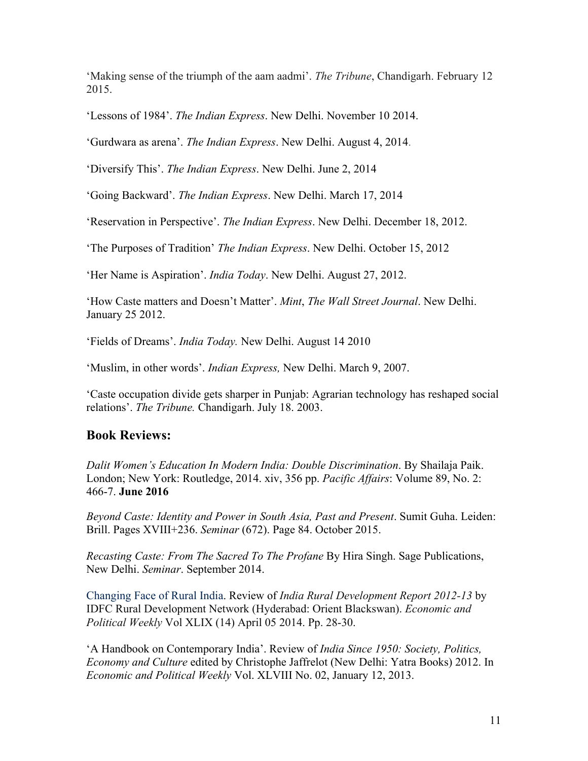'Making sense of the triumph of the aam aadmi'. *The Tribune*, Chandigarh. February 12 2015.

'Lessons of 1984'. *The Indian Express*. New Delhi. November 10 2014.

'Gurdwara as arena'. *The Indian Express*. New Delhi. August 4, 2014.

'Diversify This'. *The Indian Express*. New Delhi. June 2, 2014

'Going Backward'. *The Indian Express*. New Delhi. March 17, 2014

'Reservation in Perspective'. *The Indian Express*. New Delhi. December 18, 2012.

'The Purposes of Tradition' *The Indian Express*. New Delhi. October 15, 2012

'Her Name is Aspiration'. *India Today*. New Delhi. August 27, 2012.

'How Caste matters and Doesn't Matter'. *Mint*, *The Wall Street Journal*. New Delhi. January 25 2012.

'Fields of Dreams'. *India Today.* New Delhi. August 14 2010

'Muslim, in other words'. *Indian Express,* New Delhi. March 9, 2007.

'Caste occupation divide gets sharper in Punjab: Agrarian technology has reshaped social relations'. *The Tribune.* Chandigarh. July 18. 2003.

### **Book Reviews:**

*Dalit Women's Education In Modern India: Double Discrimination*. By Shailaja Paik. London; New York: Routledge, 2014. xiv, 356 pp. *Pacific Affairs*: Volume 89, No. 2: 466-7. **June 2016**

*Beyond Caste: Identity and Power in South Asia, Past and Present*. Sumit Guha. Leiden: Brill. Pages XVIII+236. *Seminar* (672). Page 84. October 2015.

*Recasting Caste: From The Sacred To The Profane* By Hira Singh. Sage Publications, New Delhi. *Seminar*. September 2014.

Changing Face of Rural India. Review of *India Rural Development Report 2012-13* by IDFC Rural Development Network (Hyderabad: Orient Blackswan). *Economic and Political Weekly* Vol XLIX (14) April 05 2014. Pp. 28-30.

'A Handbook on Contemporary India'. Review of *India Since 1950: Society, Politics, Economy and Culture* edited by Christophe Jaffrelot (New Delhi: Yatra Books) 2012. In *Economic and Political Weekly* Vol. XLVIII No. 02, January 12, 2013.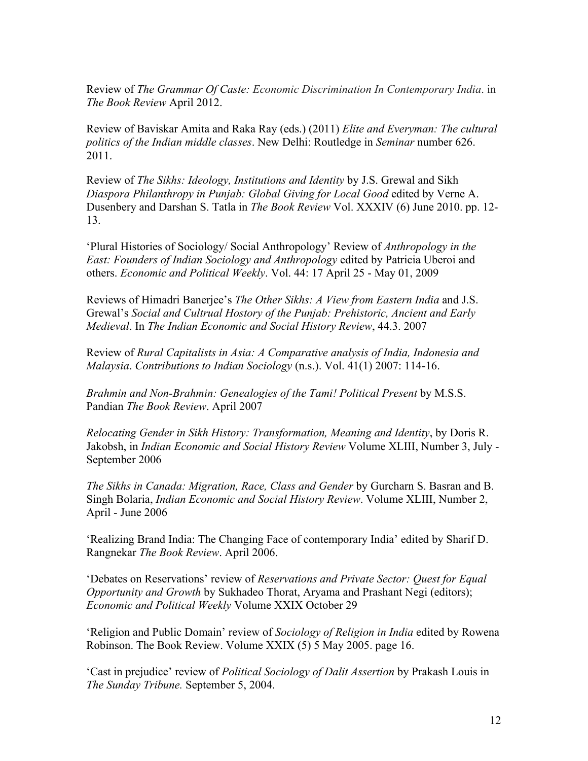Review of *The Grammar Of Caste: Economic Discrimination In Contemporary India*. in *The Book Review* April 2012.

Review of Baviskar Amita and Raka Ray (eds.) (2011) *Elite and Everyman: The cultural politics of the Indian middle classes*. New Delhi: Routledge in *Seminar* number 626. 2011.

Review of *The Sikhs: Ideology, Institutions and Identity* by J.S. Grewal and Sikh *Diaspora Philanthropy in Punjab: Global Giving for Local Good* edited by Verne A. Dusenbery and Darshan S. Tatla in *The Book Review* Vol. XXXIV (6) June 2010. pp. 12- 13.

'Plural Histories of Sociology/ Social Anthropology' Review of *Anthropology in the East: Founders of Indian Sociology and Anthropology* edited by Patricia Uberoi and others. *Economic and Political Weekly*. Vol. 44: 17 April 25 - May 01, 2009

Reviews of Himadri Banerjee's *The Other Sikhs: A View from Eastern India* and J.S. Grewal's *Social and Cultrual Hostory of the Punjab: Prehistoric, Ancient and Early Medieval*. In *The Indian Economic and Social History Review*, 44.3. 2007

Review of *Rural Capitalists in Asia: A Comparative analysis of India, Indonesia and Malaysia*. *Contributions to Indian Sociology* (n.s.). Vol. 41(1) 2007: 114-16.

*Brahmin and Non-Brahmin: Genealogies of the Tami! Political Present* by M.S.S. Pandian *The Book Review*. April 2007

*Relocating Gender in Sikh History: Transformation, Meaning and Identity*, by Doris R. Jakobsh, in *Indian Economic and Social History Review* Volume XLIII, Number 3, July - September 2006

*The Sikhs in Canada: Migration, Race, Class and Gender* by Gurcharn S. Basran and B. Singh Bolaria, *Indian Economic and Social History Review*. Volume XLIII, Number 2, April - June 2006

'Realizing Brand India: The Changing Face of contemporary India' edited by Sharif D. Rangnekar *The Book Review*. April 2006.

'Debates on Reservations' review of *Reservations and Private Sector: Quest for Equal Opportunity and Growth* by Sukhadeo Thorat, Aryama and Prashant Negi (editors); *Economic and Political Weekly* Volume XXIX October 29

'Religion and Public Domain' review of *Sociology of Religion in India* edited by Rowena Robinson. The Book Review. Volume XXIX (5) 5 May 2005. page 16.

'Cast in prejudice' review of *Political Sociology of Dalit Assertion* by Prakash Louis in *The Sunday Tribune.* September 5, 2004.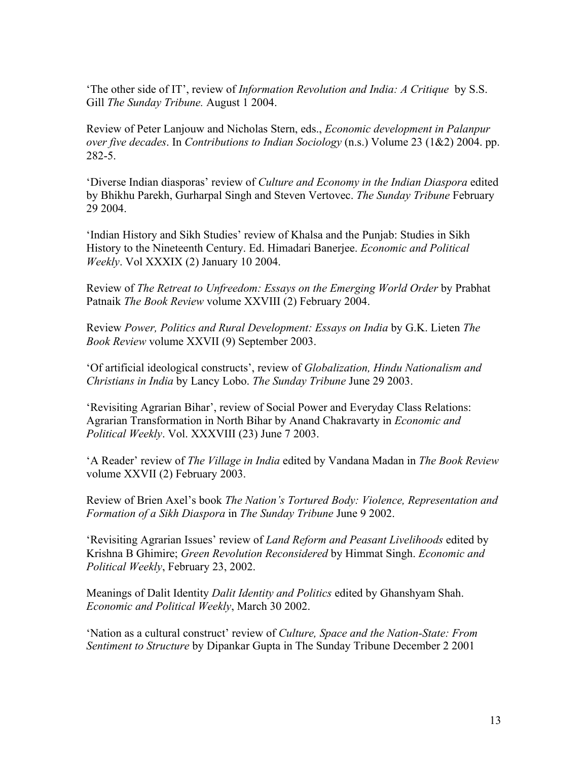'The other side of IT', review of *Information Revolution and India: A Critique* by S.S. Gill *The Sunday Tribune.* August 1 2004.

Review of Peter Lanjouw and Nicholas Stern, eds., *Economic development in Palanpur over five decades*. In *Contributions to Indian Sociology* (n.s.) Volume 23 (1&2) 2004. pp. 282-5.

'Diverse Indian diasporas' review of *Culture and Economy in the Indian Diaspora* edited by Bhikhu Parekh, Gurharpal Singh and Steven Vertovec. *The Sunday Tribune* February 29 2004.

'Indian History and Sikh Studies' review of Khalsa and the Punjab: Studies in Sikh History to the Nineteenth Century. Ed. Himadari Banerjee. *Economic and Political Weekly*. Vol XXXIX (2) January 10 2004.

Review of *The Retreat to Unfreedom: Essays on the Emerging World Order* by Prabhat Patnaik *The Book Review* volume XXVIII (2) February 2004.

Review *Power, Politics and Rural Development: Essays on India* by G.K. Lieten *The Book Review volume XXVII* (9) September 2003.

'Of artificial ideological constructs', review of *Globalization, Hindu Nationalism and Christians in India* by Lancy Lobo. *The Sunday Tribune* June 29 2003.

'Revisiting Agrarian Bihar', review of Social Power and Everyday Class Relations: Agrarian Transformation in North Bihar by Anand Chakravarty in *Economic and Political Weekly*. Vol. XXXVIII (23) June 7 2003.

'A Reader' review of *The Village in India* edited by Vandana Madan in *The Book Review*  volume XXVII (2) February 2003.

Review of Brien Axel's book *The Nation's Tortured Body: Violence, Representation and Formation of a Sikh Diaspora* in *The Sunday Tribune* June 9 2002.

'Revisiting Agrarian Issues' review of *Land Reform and Peasant Livelihoods* edited by Krishna B Ghimire; *Green Revolution Reconsidered* by Himmat Singh. *Economic and Political Weekly*, February 23, 2002.

Meanings of Dalit Identity *Dalit Identity and Politics* edited by Ghanshyam Shah. *Economic and Political Weekly*, March 30 2002.

'Nation as a cultural construct' review of *Culture, Space and the Nation-State: From Sentiment to Structure* by Dipankar Gupta in The Sunday Tribune December 2 2001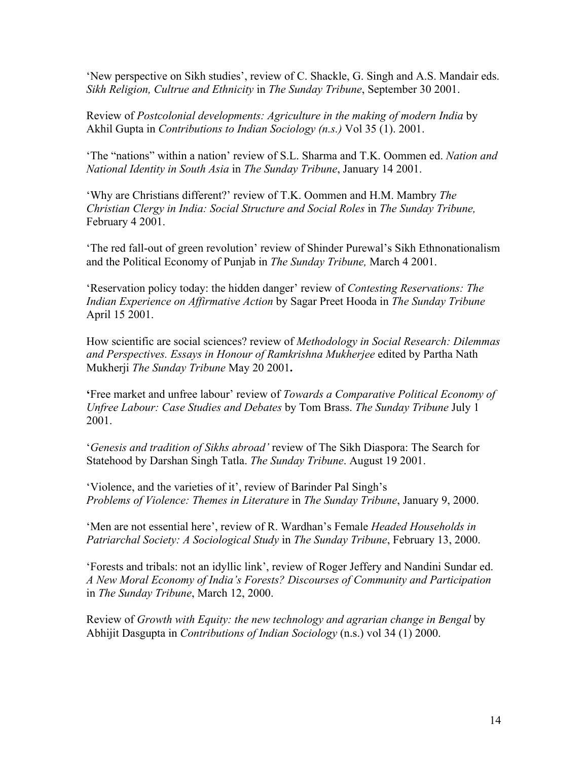'New perspective on Sikh studies', review of C. Shackle, G. Singh and A.S. Mandair eds. *Sikh Religion, Cultrue and Ethnicity* in *The Sunday Tribune*, September 30 2001.

Review of *Postcolonial developments: Agriculture in the making of modern India* by Akhil Gupta in *Contributions to Indian Sociology (n.s.)* Vol 35 (1). 2001.

'The "nations" within a nation' review of S.L. Sharma and T.K. Oommen ed. *Nation and National Identity in South Asia* in *The Sunday Tribune*, January 14 2001.

'Why are Christians different?' review of T.K. Oommen and H.M. Mambry *The Christian Clergy in India: Social Structure and Social Roles* in *The Sunday Tribune,* February 4 2001.

'The red fall-out of green revolution' review of Shinder Purewal's Sikh Ethnonationalism and the Political Economy of Punjab in *The Sunday Tribune,* March 4 2001.

'Reservation policy today: the hidden danger' review of *Contesting Reservations: The Indian Experience on Affirmative Action* by Sagar Preet Hooda in *The Sunday Tribune* April 15 2001.

How scientific are social sciences? review of *Methodology in Social Research: Dilemmas and Perspectives. Essays in Honour of Ramkrishna Mukherjee* edited by Partha Nath Mukherji *The Sunday Tribune* May 20 2001**.**

**'**Free market and unfree labour' review of *Towards a Comparative Political Economy of Unfree Labour: Case Studies and Debates* by Tom Brass. *The Sunday Tribune* July 1 2001.

'*Genesis and tradition of Sikhs abroad'* review of The Sikh Diaspora: The Search for Statehood by Darshan Singh Tatla. *The Sunday Tribune*. August 19 2001.

'Violence, and the varieties of it', review of Barinder Pal Singh's *Problems of Violence: Themes in Literature* in *The Sunday Tribune*, January 9, 2000.

'Men are not essential here', review of R. Wardhan's Female *Headed Households in Patriarchal Society: A Sociological Study* in *The Sunday Tribune*, February 13, 2000.

'Forests and tribals: not an idyllic link', review of Roger Jeffery and Nandini Sundar ed. *A New Moral Economy of India's Forests? Discourses of Community and Participation* in *The Sunday Tribune*, March 12, 2000.

Review of *Growth with Equity: the new technology and agrarian change in Bengal* by Abhijit Dasgupta in *Contributions of Indian Sociology* (n.s.) vol 34 (1) 2000.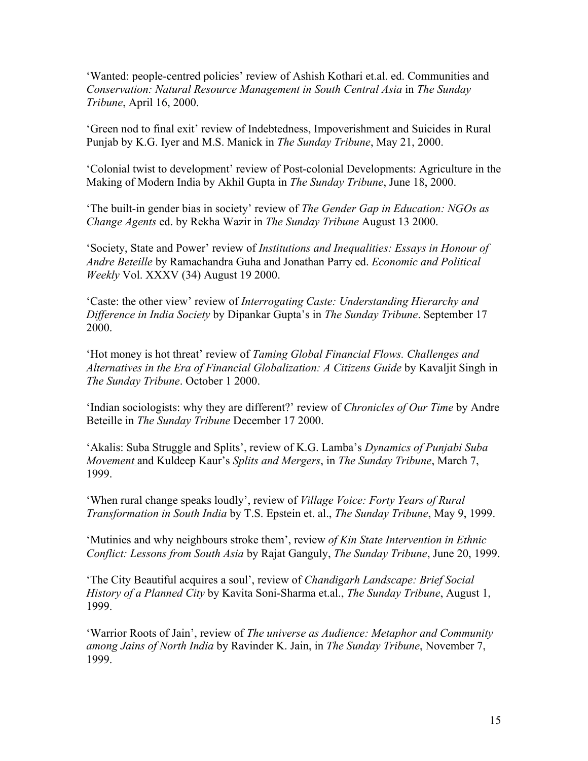'Wanted: people-centred policies' review of Ashish Kothari et.al. ed. Communities and *Conservation: Natural Resource Management in South Central Asia* in *The Sunday Tribune*, April 16, 2000.

'Green nod to final exit' review of Indebtedness, Impoverishment and Suicides in Rural Punjab by K.G. Iyer and M.S. Manick in *The Sunday Tribune*, May 21, 2000.

'Colonial twist to development' review of Post-colonial Developments: Agriculture in the Making of Modern India by Akhil Gupta in *The Sunday Tribune*, June 18, 2000.

'The built-in gender bias in society' review of *The Gender Gap in Education: NGOs as Change Agents* ed. by Rekha Wazir in *The Sunday Tribune* August 13 2000.

'Society, State and Power' review of *Institutions and Inequalities: Essays in Honour of Andre Beteille* by Ramachandra Guha and Jonathan Parry ed. *Economic and Political Weekly* Vol. XXXV (34) August 19 2000.

'Caste: the other view' review of *Interrogating Caste: Understanding Hierarchy and Difference in India Society* by Dipankar Gupta's in *The Sunday Tribune*. September 17 2000.

'Hot money is hot threat' review of *Taming Global Financial Flows. Challenges and Alternatives in the Era of Financial Globalization: A Citizens Guide* by Kavaljit Singh in *The Sunday Tribune*. October 1 2000.

'Indian sociologists: why they are different?' review of *Chronicles of Our Time* by Andre Beteille in *The Sunday Tribune* December 17 2000.

'Akalis: Suba Struggle and Splits', review of K.G. Lamba's *Dynamics of Punjabi Suba Movement* and Kuldeep Kaur's *Splits and Mergers*, in *The Sunday Tribune*, March 7, 1999.

'When rural change speaks loudly', review of *Village Voice: Forty Years of Rural Transformation in South India* by T.S. Epstein et. al., *The Sunday Tribune*, May 9, 1999.

'Mutinies and why neighbours stroke them', review *of Kin State Intervention in Ethnic Conflict: Lessons from South Asia* by Rajat Ganguly, *The Sunday Tribune*, June 20, 1999.

'The City Beautiful acquires a soul', review of *Chandigarh Landscape: Brief Social History of a Planned City* by Kavita Soni-Sharma et.al., *The Sunday Tribune*, August 1, 1999.

'Warrior Roots of Jain', review of *The universe as Audience: Metaphor and Community among Jains of North India* by Ravinder K. Jain, in *The Sunday Tribune*, November 7, 1999.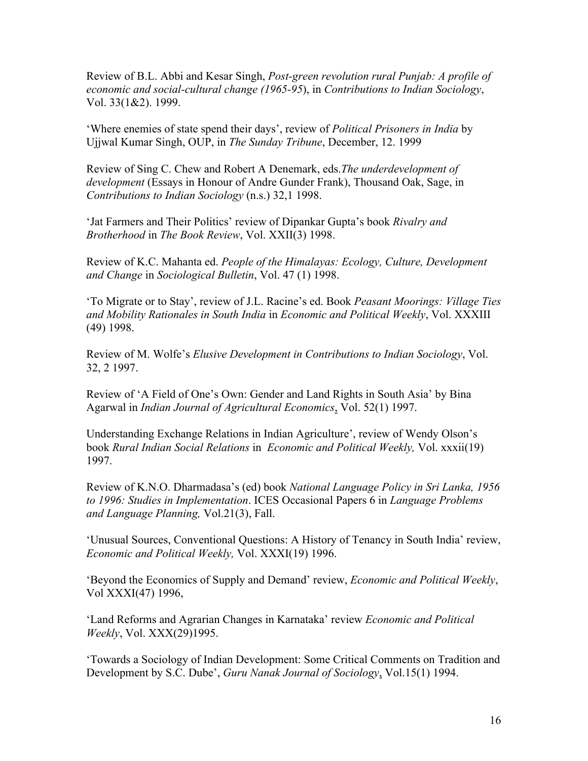Review of B.L. Abbi and Kesar Singh, *Post-green revolution rural Punjab: A profile of economic and social-cultural change (1965-95*), in *Contributions to Indian Sociology*, Vol. 33(1&2). 1999.

'Where enemies of state spend their days', review of *Political Prisoners in India* by Ujjwal Kumar Singh, OUP, in *The Sunday Tribune*, December, 12. 1999

Review of Sing C. Chew and Robert A Denemark, eds.*The underdevelopment of development* (Essays in Honour of Andre Gunder Frank), Thousand Oak, Sage, in *Contributions to Indian Sociology* (n.s.) 32,1 1998.

'Jat Farmers and Their Politics' review of Dipankar Gupta's book *Rivalry and Brotherhood* in *The Book Review*, Vol. XXII(3) 1998.

Review of K.C. Mahanta ed. *People of the Himalayas: Ecology, Culture, Development and Change* in *Sociological Bulletin*, Vol. 47 (1) 1998.

'To Migrate or to Stay', review of J.L. Racine's ed. Book *Peasant Moorings: Village Ties and Mobility Rationales in South India* in *Economic and Political Weekly*, Vol. XXXIII (49) 1998.

Review of M. Wolfe's *Elusive Development in Contributions to Indian Sociology*, Vol. 32, 2 1997.

Review of 'A Field of One's Own: Gender and Land Rights in South Asia' by Bina Agarwal in *Indian Journal of Agricultural Economics*, Vol. 52(1) 1997.

Understanding Exchange Relations in Indian Agriculture', review of Wendy Olson's book *Rural Indian Social Relations* in *Economic and Political Weekly,* Vol. xxxii(19) 1997.

Review of K.N.O. Dharmadasa's (ed) book *National Language Policy in Sri Lanka, 1956 to 1996: Studies in Implementation*. ICES Occasional Papers 6 in *Language Problems and Language Planning,* Vol.21(3), Fall.

'Unusual Sources, Conventional Questions: A History of Tenancy in South India' review, *Economic and Political Weekly,* Vol. XXXI(19) 1996.

'Beyond the Economics of Supply and Demand' review, *Economic and Political Weekly*, Vol XXXI(47) 1996,

'Land Reforms and Agrarian Changes in Karnataka' review *Economic and Political Weekly*, Vol. XXX(29)1995.

'Towards a Sociology of Indian Development: Some Critical Comments on Tradition and Development by S.C. Dube', *Guru Nanak Journal of Sociology*, Vol.15(1) 1994.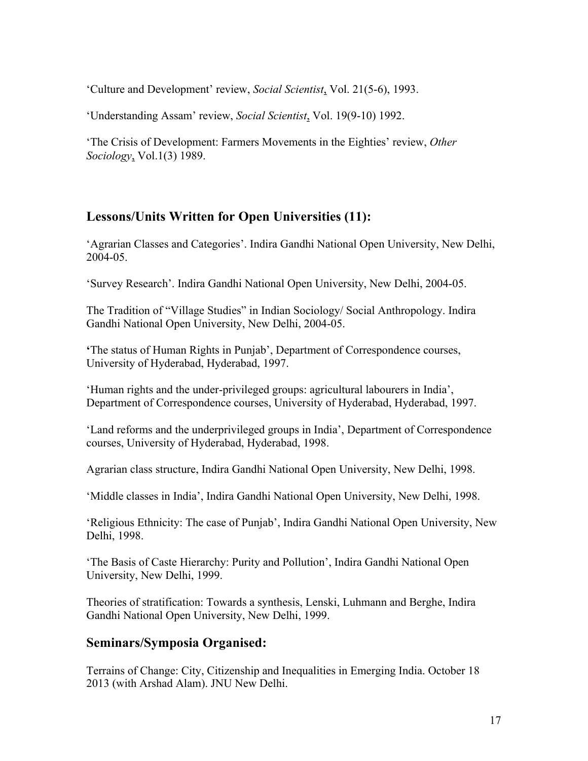'Culture and Development' review, *Social Scientist*, Vol. 21(5-6), 1993.

'Understanding Assam' review, *Social Scientist*, Vol. 19(9-10) 1992.

'The Crisis of Development: Farmers Movements in the Eighties' review, *Other Sociology*, Vol.1(3) 1989.

# **Lessons/Units Written for Open Universities (11):**

'Agrarian Classes and Categories'. Indira Gandhi National Open University, New Delhi, 2004-05.

'Survey Research'. Indira Gandhi National Open University, New Delhi, 2004-05.

The Tradition of "Village Studies" in Indian Sociology/ Social Anthropology. Indira Gandhi National Open University, New Delhi, 2004-05.

**'**The status of Human Rights in Punjab', Department of Correspondence courses, University of Hyderabad, Hyderabad, 1997.

'Human rights and the under-privileged groups: agricultural labourers in India', Department of Correspondence courses, University of Hyderabad, Hyderabad, 1997.

'Land reforms and the underprivileged groups in India', Department of Correspondence courses, University of Hyderabad, Hyderabad, 1998.

Agrarian class structure, Indira Gandhi National Open University, New Delhi, 1998.

'Middle classes in India', Indira Gandhi National Open University, New Delhi, 1998.

'Religious Ethnicity: The case of Punjab', Indira Gandhi National Open University, New Delhi, 1998.

'The Basis of Caste Hierarchy: Purity and Pollution', Indira Gandhi National Open University, New Delhi, 1999.

Theories of stratification: Towards a synthesis, Lenski, Luhmann and Berghe, Indira Gandhi National Open University, New Delhi, 1999.

# **Seminars/Symposia Organised:**

Terrains of Change: City, Citizenship and Inequalities in Emerging India. October 18 2013 (with Arshad Alam). JNU New Delhi.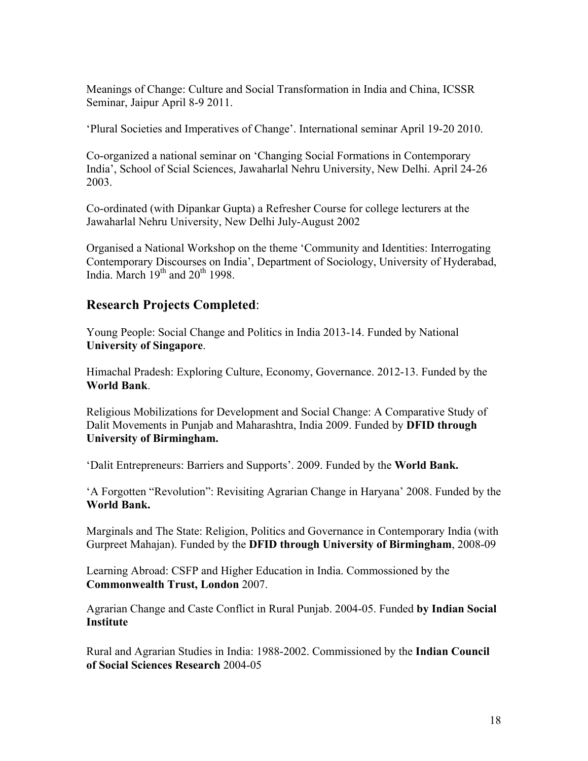Meanings of Change: Culture and Social Transformation in India and China, ICSSR Seminar, Jaipur April 8-9 2011.

'Plural Societies and Imperatives of Change'. International seminar April 19-20 2010.

Co-organized a national seminar on 'Changing Social Formations in Contemporary India', School of Scial Sciences, Jawaharlal Nehru University, New Delhi. April 24-26 2003.

Co-ordinated (with Dipankar Gupta) a Refresher Course for college lecturers at the Jawaharlal Nehru University, New Delhi July-August 2002

Organised a National Workshop on the theme 'Community and Identities: Interrogating Contemporary Discourses on India', Department of Sociology, University of Hyderabad, India. March  $19<sup>th</sup>$  and  $20<sup>th</sup>$  1998.

### **Research Projects Completed**:

Young People: Social Change and Politics in India 2013-14. Funded by National **University of Singapore**.

Himachal Pradesh: Exploring Culture, Economy, Governance. 2012-13. Funded by the **World Bank**.

Religious Mobilizations for Development and Social Change: A Comparative Study of Dalit Movements in Punjab and Maharashtra, India 2009. Funded by **DFID through University of Birmingham.**

'Dalit Entrepreneurs: Barriers and Supports'. 2009. Funded by the **World Bank.**

'A Forgotten "Revolution": Revisiting Agrarian Change in Haryana' 2008. Funded by the **World Bank.**

Marginals and The State: Religion, Politics and Governance in Contemporary India (with Gurpreet Mahajan). Funded by the **DFID through University of Birmingham**, 2008-09

Learning Abroad: CSFP and Higher Education in India. Commossioned by the **Commonwealth Trust, London** 2007.

Agrarian Change and Caste Conflict in Rural Punjab. 2004-05. Funded **by Indian Social Institute**

Rural and Agrarian Studies in India: 1988-2002. Commissioned by the **Indian Council of Social Sciences Research** 2004-05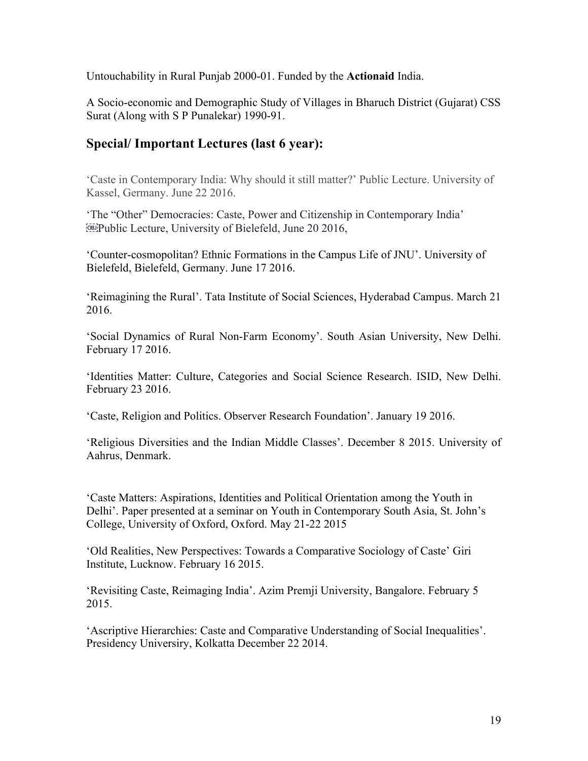Untouchability in Rural Punjab 2000-01. Funded by the **Actionaid** India.

A Socio-economic and Demographic Study of Villages in Bharuch District (Gujarat) CSS Surat (Along with S P Punalekar) 1990-91.

# **Special/ Important Lectures (last 6 year):**

'Caste in Contemporary India: Why should it still matter?' Public Lecture. University of Kassel, Germany. June 22 2016.

'The "Other" Democracies: Caste, Power and Citizenship in Contemporary India' **EDU** Public Lecture, University of Bielefeld, June 20 2016.

'Counter-cosmopolitan? Ethnic Formations in the Campus Life of JNU'. University of Bielefeld, Bielefeld, Germany. June 17 2016.

'Reimagining the Rural'. Tata Institute of Social Sciences, Hyderabad Campus. March 21 2016.

'Social Dynamics of Rural Non-Farm Economy'. South Asian University, New Delhi. February 17 2016.

'Identities Matter: Culture, Categories and Social Science Research. ISID, New Delhi. February 23 2016.

'Caste, Religion and Politics. Observer Research Foundation'. January 19 2016.

'Religious Diversities and the Indian Middle Classes'. December 8 2015. University of Aahrus, Denmark.

'Caste Matters: Aspirations, Identities and Political Orientation among the Youth in Delhi'. Paper presented at a seminar on Youth in Contemporary South Asia, St. John's College, University of Oxford, Oxford. May 21-22 2015

'Old Realities, New Perspectives: Towards a Comparative Sociology of Caste' Giri Institute, Lucknow. February 16 2015.

'Revisiting Caste, Reimaging India'. Azim Premji University, Bangalore. February 5 2015.

'Ascriptive Hierarchies: Caste and Comparative Understanding of Social Inequalities'. Presidency Universiry, Kolkatta December 22 2014.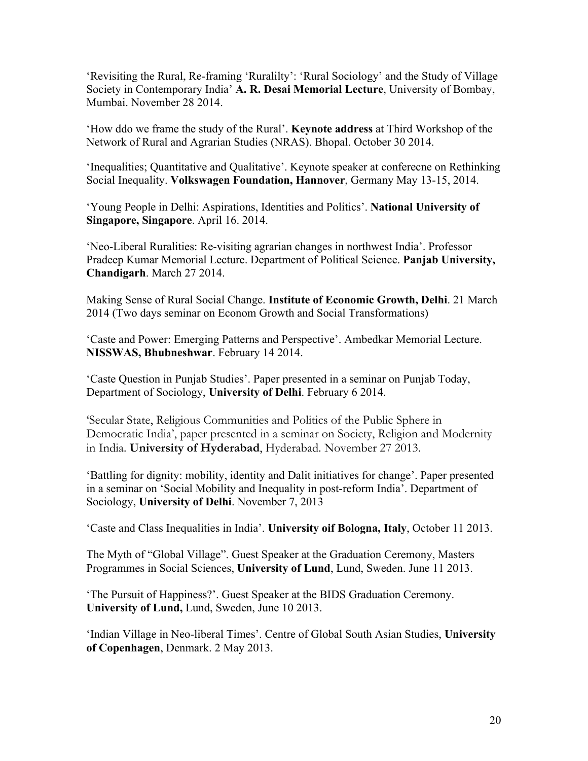'Revisiting the Rural, Re-framing 'Ruralilty': 'Rural Sociology' and the Study of Village Society in Contemporary India' **A. R. Desai Memorial Lecture**, University of Bombay, Mumbai. November 28 2014.

'How ddo we frame the study of the Rural'. **Keynote address** at Third Workshop of the Network of Rural and Agrarian Studies (NRAS). Bhopal. October 30 2014.

'Inequalities; Quantitative and Qualitative'. Keynote speaker at conferecne on Rethinking Social Inequality. **Volkswagen Foundation, Hannover**, Germany May 13-15, 2014.

'Young People in Delhi: Aspirations, Identities and Politics'. **National University of Singapore, Singapore**. April 16. 2014.

'Neo-Liberal Ruralities: Re-visiting agrarian changes in northwest India'. Professor Pradeep Kumar Memorial Lecture. Department of Political Science. **Panjab University, Chandigarh**. March 27 2014.

Making Sense of Rural Social Change. **Institute of Economic Growth, Delhi**. 21 March 2014 (Two days seminar on Econom Growth and Social Transformations)

'Caste and Power: Emerging Patterns and Perspective'. Ambedkar Memorial Lecture. **NISSWAS, Bhubneshwar**. February 14 2014.

'Caste Question in Punjab Studies'. Paper presented in a seminar on Punjab Today, Department of Sociology, **University of Delhi**. February 6 2014.

'Secular State, Religious Communities and Politics of the Public Sphere in Democratic India', paper presented in a seminar on Society, Religion and Modernity in India. **University of Hyderabad**, Hyderabad. November 27 2013.

'Battling for dignity: mobility, identity and Dalit initiatives for change'. Paper presented in a seminar on 'Social Mobility and Inequality in post-reform India'. Department of Sociology, **University of Delhi**. November 7, 2013

'Caste and Class Inequalities in India'. **University oif Bologna, Italy**, October 11 2013.

The Myth of "Global Village". Guest Speaker at the Graduation Ceremony, Masters Programmes in Social Sciences, **University of Lund**, Lund, Sweden. June 11 2013.

'The Pursuit of Happiness?'. Guest Speaker at the BIDS Graduation Ceremony. **University of Lund,** Lund, Sweden, June 10 2013.

'Indian Village in Neo-liberal Times'. Centre of Global South Asian Studies, **University of Copenhagen**, Denmark. 2 May 2013.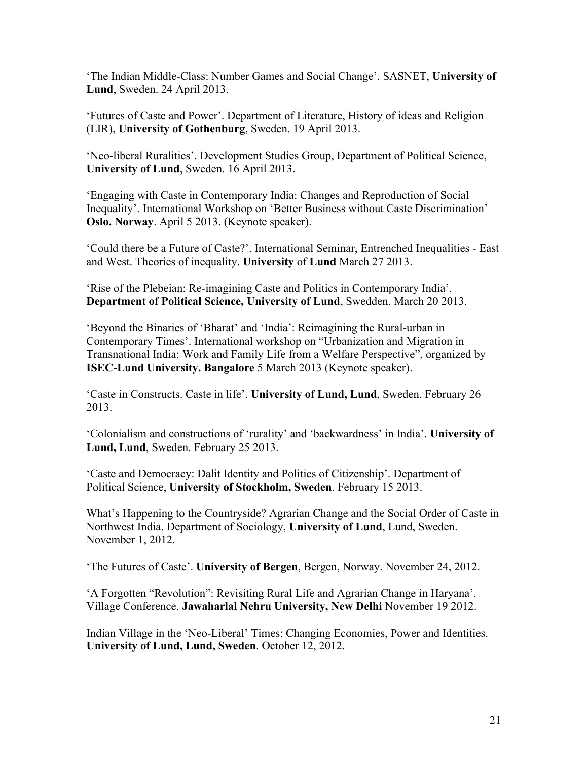'The Indian Middle-Class: Number Games and Social Change'. SASNET, **University of Lund**, Sweden. 24 April 2013.

'Futures of Caste and Power'. Department of Literature, History of ideas and Religion (LIR), **University of Gothenburg**, Sweden. 19 April 2013.

'Neo-liberal Ruralities'. Development Studies Group, Department of Political Science, **University of Lund**, Sweden. 16 April 2013.

'Engaging with Caste in Contemporary India: Changes and Reproduction of Social Inequality'. International Workshop on 'Better Business without Caste Discrimination' **Oslo. Norway**. April 5 2013. (Keynote speaker).

'Could there be a Future of Caste?'. International Seminar, Entrenched Inequalities - East and West. Theories of inequality. **University** of **Lund** March 27 2013.

'Rise of the Plebeian: Re-imagining Caste and Politics in Contemporary India'. **Department of Political Science, University of Lund**, Swedden. March 20 2013.

'Beyond the Binaries of ʻBharat' and ʻIndia': Reimagining the Rural-urban in Contemporary Times'. International workshop on "Urbanization and Migration in Transnational India: Work and Family Life from a Welfare Perspective", organized by **ISEC-Lund University. Bangalore** 5 March 2013 (Keynote speaker).

'Caste in Constructs. Caste in life'. **University of Lund, Lund**, Sweden. February 26 2013.

'Colonialism and constructions of 'rurality' and 'backwardness' in India'. **University of Lund, Lund**, Sweden. February 25 2013.

'Caste and Democracy: Dalit Identity and Politics of Citizenship'. Department of Political Science, **University of Stockholm, Sweden**. February 15 2013.

What's Happening to the Countryside? Agrarian Change and the Social Order of Caste in Northwest India. Department of Sociology, **University of Lund**, Lund, Sweden. November 1, 2012.

'The Futures of Caste'. **University of Bergen**, Bergen, Norway. November 24, 2012.

'A Forgotten "Revolution": Revisiting Rural Life and Agrarian Change in Haryana'. Village Conference. **Jawaharlal Nehru University, New Delhi** November 19 2012.

Indian Village in the 'Neo-Liberal' Times: Changing Economies, Power and Identities. **University of Lund, Lund, Sweden**. October 12, 2012.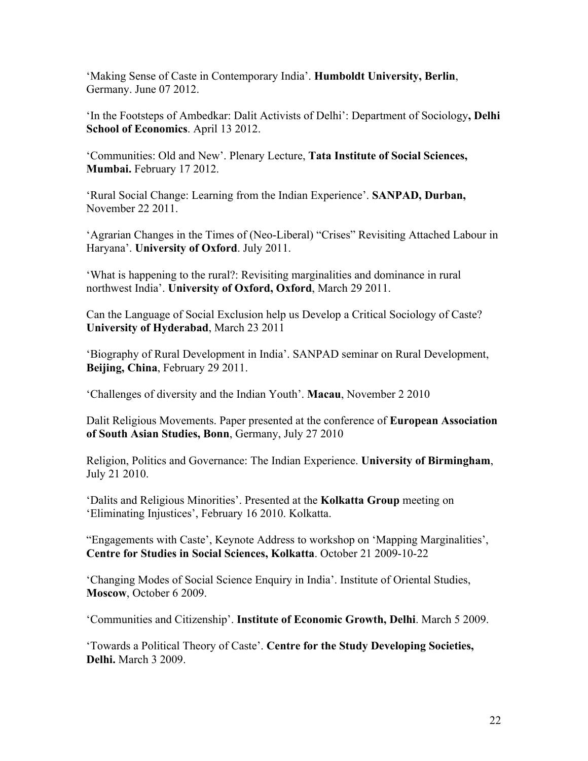'Making Sense of Caste in Contemporary India'. **Humboldt University, Berlin**, Germany. June 07 2012.

'In the Footsteps of Ambedkar: Dalit Activists of Delhi': Department of Sociology**, Delhi School of Economics**. April 13 2012.

'Communities: Old and New'. Plenary Lecture, **Tata Institute of Social Sciences, Mumbai.** February 17 2012.

'Rural Social Change: Learning from the Indian Experience'. **SANPAD, Durban,** November 22 2011.

'Agrarian Changes in the Times of (Neo-Liberal) "Crises" Revisiting Attached Labour in Haryana'. **University of Oxford**. July 2011.

'What is happening to the rural?: Revisiting marginalities and dominance in rural northwest India'. **University of Oxford, Oxford**, March 29 2011.

Can the Language of Social Exclusion help us Develop a Critical Sociology of Caste? **University of Hyderabad**, March 23 2011

'Biography of Rural Development in India'. SANPAD seminar on Rural Development, **Beijing, China**, February 29 2011.

'Challenges of diversity and the Indian Youth'. **Macau**, November 2 2010

Dalit Religious Movements. Paper presented at the conference of **European Association of South Asian Studies, Bonn**, Germany, July 27 2010

Religion, Politics and Governance: The Indian Experience. **University of Birmingham**, July 21 2010.

'Dalits and Religious Minorities'. Presented at the **Kolkatta Group** meeting on 'Eliminating Injustices', February 16 2010. Kolkatta.

"Engagements with Caste', Keynote Address to workshop on 'Mapping Marginalities', **Centre for Studies in Social Sciences, Kolkatta**. October 21 2009-10-22

'Changing Modes of Social Science Enquiry in India'. Institute of Oriental Studies, **Moscow**, October 6 2009.

'Communities and Citizenship'. **Institute of Economic Growth, Delhi**. March 5 2009.

'Towards a Political Theory of Caste'. **Centre for the Study Developing Societies, Delhi.** March 3 2009.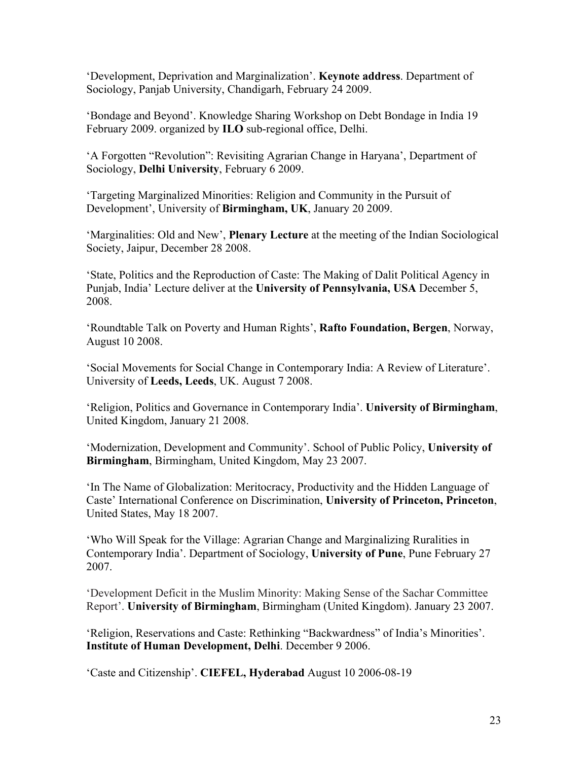'Development, Deprivation and Marginalization'. **Keynote address**. Department of Sociology, Panjab University, Chandigarh, February 24 2009.

'Bondage and Beyond'. Knowledge Sharing Workshop on Debt Bondage in India 19 February 2009. organized by **ILO** sub-regional office, Delhi.

'A Forgotten "Revolution": Revisiting Agrarian Change in Haryana', Department of Sociology, **Delhi University**, February 6 2009.

'Targeting Marginalized Minorities: Religion and Community in the Pursuit of Development', University of **Birmingham, UK**, January 20 2009.

'Marginalities: Old and New', **Plenary Lecture** at the meeting of the Indian Sociological Society, Jaipur, December 28 2008.

'State, Politics and the Reproduction of Caste: The Making of Dalit Political Agency in Punjab, India' Lecture deliver at the **University of Pennsylvania, USA** December 5, 2008.

'Roundtable Talk on Poverty and Human Rights', **Rafto Foundation, Bergen**, Norway, August 10 2008.

'Social Movements for Social Change in Contemporary India: A Review of Literature'. University of **Leeds, Leeds**, UK. August 7 2008.

'Religion, Politics and Governance in Contemporary India'. **University of Birmingham**, United Kingdom, January 21 2008.

'Modernization, Development and Community'. School of Public Policy, **University of Birmingham**, Birmingham, United Kingdom, May 23 2007.

'In The Name of Globalization: Meritocracy, Productivity and the Hidden Language of Caste' International Conference on Discrimination, **University of Princeton, Princeton**, United States, May 18 2007.

'Who Will Speak for the Village: Agrarian Change and Marginalizing Ruralities in Contemporary India'. Department of Sociology, **University of Pune**, Pune February 27 2007.

'Development Deficit in the Muslim Minority: Making Sense of the Sachar Committee Report'. **University of Birmingham**, Birmingham (United Kingdom). January 23 2007.

'Religion, Reservations and Caste: Rethinking "Backwardness" of India's Minorities'. **Institute of Human Development, Delhi**. December 9 2006.

'Caste and Citizenship'. **CIEFEL, Hyderabad** August 10 2006-08-19